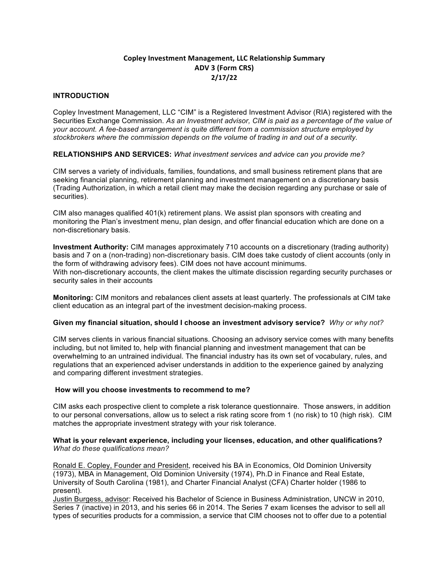# **Copley Investment Management, LLC Relationship Summary ADV 3 (Form CRS) 2/17/22**

# **INTRODUCTION**

Copley Investment Management, LLC "CIM" is a Registered Investment Advisor (RIA) registered with the Securities Exchange Commission. *As an Investment advisor, CIM is paid as a percentage of the value of your account. A fee-based arrangement is quite different from a commission structure employed by stockbrokers where the commission depends on the volume of trading in and out of a security.*

**RELATIONSHIPS AND SERVICES:** *What investment services and advice can you provide me?*

CIM serves a variety of individuals, families, foundations, and small business retirement plans that are seeking financial planning, retirement planning and investment management on a discretionary basis (Trading Authorization, in which a retail client may make the decision regarding any purchase or sale of securities).

CIM also manages qualified 401(k) retirement plans. We assist plan sponsors with creating and monitoring the Plan's investment menu, plan design, and offer financial education which are done on a non-discretionary basis.

**Investment Authority:** CIM manages approximately 710 accounts on a discretionary (trading authority) basis and 7 on a (non-trading) non-discretionary basis. CIM does take custody of client accounts (only in the form of withdrawing advisory fees). CIM does not have account minimums. With non-discretionary accounts, the client makes the ultimate discission regarding security purchases or security sales in their accounts

**Monitoring:** CIM monitors and rebalances client assets at least quarterly. The professionals at CIM take client education as an integral part of the investment decision-making process.

# **Given my financial situation, should I choose an investment advisory service?** *Why or why not?*

CIM serves clients in various financial situations. Choosing an advisory service comes with many benefits including, but not limited to, help with financial planning and investment management that can be overwhelming to an untrained individual. The financial industry has its own set of vocabulary, rules, and regulations that an experienced adviser understands in addition to the experience gained by analyzing and comparing different investment strategies.

# **How will you choose investments to recommend to me?**

CIM asks each prospective client to complete a risk tolerance questionnaire. Those answers, in addition to our personal conversations, allow us to select a risk rating score from 1 (no risk) to 10 (high risk). CIM matches the appropriate investment strategy with your risk tolerance.

# **What is your relevant experience, including your licenses, education, and other qualifications?**  *What do these qualifications mean?*

Ronald E. Copley, Founder and President, received his BA in Economics, Old Dominion University (1973), MBA in Management, Old Dominion University (1974), Ph.D in Finance and Real Estate, University of South Carolina (1981), and Charter Financial Analyst (CFA) Charter holder (1986 to present).

Justin Burgess, advisor: Received his Bachelor of Science in Business Administration, UNCW in 2010, Series 7 (inactive) in 2013, and his series 66 in 2014. The Series 7 exam licenses the advisor to sell all types of securities products for a commission, a service that CIM chooses not to offer due to a potential